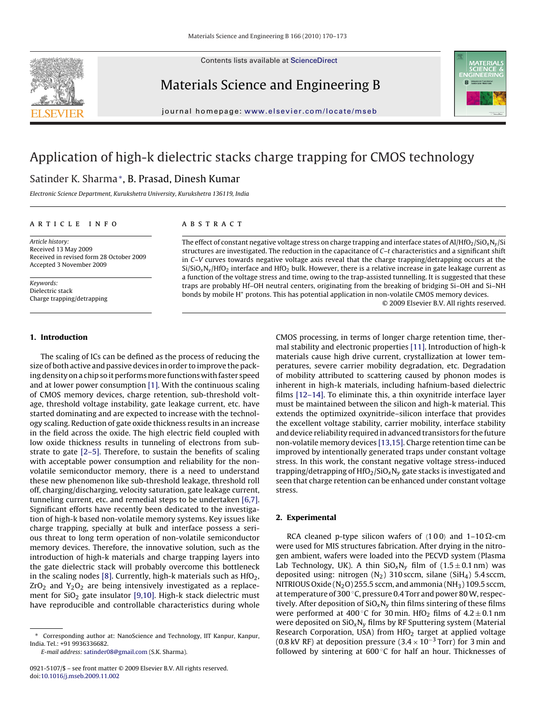Contents lists available at [ScienceDirect](http://www.sciencedirect.com/science/journal/09215107)



Materials Science and Engineering B



journal homepage: [www.elsevier.com/locate/mseb](http://www.elsevier.com/locate/mseb)

# Application of high-k dielectric stacks charge trapping for CMOS technology

## Satinder K. Sharma∗, B. Prasad, Dinesh Kumar

Electronic Science Department, Kurukshetra University, Kurukshetra 136119, India

#### article info

Article history: Received 13 May 2009 Received in revised form 28 October 2009 Accepted 3 November 2009

Keywords: Dielectric stack Charge trapping/detrapping

## ABSTRACT

The effect of constant negative voltage stress on charge trapping and interface states of Al/HfO<sub>2</sub>/SiO<sub>x</sub>N<sub>y</sub>/Si structures are investigated. The reduction in the capacitance of C-t characteristics and a significant shift in C–V curves towards negative voltage axis reveal that the charge trapping/detrapping occurs at the  $Si/SiO_xN_v/HfO_2$  interface and HfO<sub>2</sub> bulk. However, there is a relative increase in gate leakage current as a function of the voltage stress and time, owing to the trap-assisted tunnelling. It is suggested that these traps are probably Hf–OH neutral centers, originating from the breaking of bridging Si–OH and Si–NH bonds by mobile H<sup>+</sup> protons. This has potential application in non-volatile CMOS memory devices. © 2009 Elsevier B.V. All rights reserved.

## **1. Introduction**

The scaling of ICs can be defined as the process of reducing the size of both active and passive devices in order to improve the packing density on a chip so it performs more functions with faster speed and at lower power consumption [\[1\]. W](#page-3-0)ith the continuous scaling of CMOS memory devices, charge retention, sub-threshold voltage, threshold voltage instability, gate leakage current, etc. have started dominating and are expected to increase with the technology scaling. Reduction of gate oxide thickness results in an increase in the field across the oxide. The high electric field coupled with low oxide thickness results in tunneling of electrons from substrate to gate [\[2–5\]. T](#page-3-0)herefore, to sustain the benefits of scaling with acceptable power consumption and reliability for the nonvolatile semiconductor memory, there is a need to understand these new phenomenon like sub-threshold leakage, threshold roll off, charging/discharging, velocity saturation, gate leakage current, tunneling current, etc. and remedial steps to be undertaken [\[6,7\].](#page-3-0) Significant efforts have recently been dedicated to the investigation of high-k based non-volatile memory systems. Key issues like charge trapping, specially at bulk and interface possess a serious threat to long term operation of non-volatile semiconductor memory devices. Therefore, the innovative solution, such as the introduction of high-k materials and charge trapping layers into the gate dielectric stack will probably overcome this bottleneck in the scaling nodes [\[8\]. C](#page-3-0)urrently, high-k materials such as  $HfO<sub>2</sub>$ ,  $ZrO<sub>2</sub>$  and  $Y<sub>2</sub>O<sub>2</sub>$  are being intensively investigated as a replacement for  $SiO<sub>2</sub>$  gate insulator [\[9,10\].](#page-3-0) High-k stack dielectric must have reproducible and controllable characteristics during whole

E-mail address: [satinder08@gmail.com](mailto:satinder08@gmail.com) (S.K. Sharma).

CMOS processing, in terms of longer charge retention time, thermal stability and electronic properties [\[11\]. I](#page-3-0)ntroduction of high-k materials cause high drive current, crystallization at lower temperatures, severe carrier mobility degradation, etc. Degradation of mobility attributed to scattering caused by phonon modes is inherent in high-k materials, including hafnium-based dielectric films [\[12–14\].](#page-3-0) To eliminate this, a thin oxynitride interface layer must be maintained between the silicon and high-k material. This extends the optimized oxynitride–silicon interface that provides the excellent voltage stability, carrier mobility, interface stability and device reliability required in advanced transistors for the future non-volatile memory devices [\[13,15\]. C](#page-3-0)harge retention time can be improved by intentionally generated traps under constant voltage stress. In this work, the constant negative voltage stress-induced trapping/detrapping of  $HfO<sub>2</sub>/SiO<sub>x</sub>N<sub>y</sub>$  gate stacks is investigated and seen that charge retention can be enhanced under constant voltage stress.

## **2. Experimental**

RCA cleaned p-type silicon wafers of  $\langle 100 \rangle$  and  $1-10 \Omega$ -cm were used for MIS structures fabrication. After drying in the nitrogen ambient, wafers were loaded into the PECVD system (Plasma Lab Technology, UK). A thin  $SiO_xN_y$  film of  $(1.5 \pm 0.1 \text{ nm})$  was deposited using: nitrogen  $(N_2)$  310 sccm, silane (SiH<sub>4</sub>) 5.4 sccm, NITRIOUS Oxide  $(N_2O)$  255.5 sccm, and ammonia  $(NH_3)$  109.5 sccm, at temperature of 300 ◦C, pressure 0.4 Torr and power 80W, respectively. After deposition of  $SiO_xN_v$  thin films sintering of these films were performed at 400 °C for 30 min. HfO<sub>2</sub> films of  $4.2 \pm 0.1$  nm were deposited on  $SiO_xN_y$  films by RF Sputtering system (Material Research Corporation, USA) from  $HfO<sub>2</sub>$  target at applied voltage (0.8 kV RF) at deposition pressure (3.4  $\times$  10<sup>-3</sup> Torr) for 3 min and followed by sintering at  $600^{\circ}$ C for half an hour. Thicknesses of

<sup>∗</sup> Corresponding author at: NanoScience and Technology, IIT Kanpur, Kanpur, India. Tel.: +91 9936336682.

<sup>0921-5107/\$ –</sup> see front matter © 2009 Elsevier B.V. All rights reserved. doi:[10.1016/j.mseb.2009.11.002](dx.doi.org/10.1016/j.mseb.2009.11.002)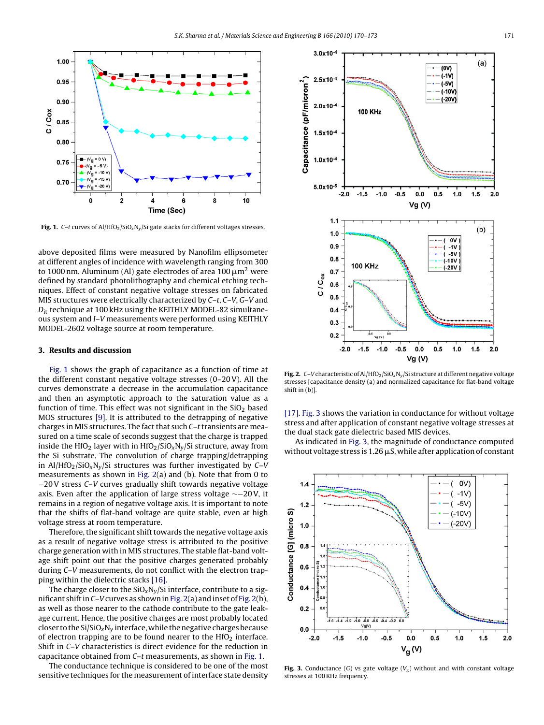

**Fig. 1.** C-t curves of Al/HfO<sub>2</sub>/SiO<sub>x</sub>N<sub>y</sub>/Si gate stacks for different voltages stresses.

above deposited films were measured by Nanofilm ellipsometer at different angles of incidence with wavelength ranging from 300 to 1000 nm. Aluminum (Al) gate electrodes of area 100  $\mu$ m<sup>2</sup> were defined by standard photolithography and chemical etching techniques. Effect of constant negative voltage stresses on fabricated MIS structures were electrically characterized by C–t, C–V, G–V and  $D_{\text{it}}$  technique at 100 kHz using the KEITHLY MODEL-82 simultaneous system and I–V measurements were performed using KEITHLY MODEL-2602 voltage source at room temperature.

#### **3. Results and discussion**

Fig. 1 shows the graph of capacitance as a function of time at the different constant negative voltage stresses (0–20 V). All the curves demonstrate a decrease in the accumulation capacitance and then an asymptotic approach to the saturation value as a function of time. This effect was not significant in the  $SiO<sub>2</sub>$  based MOS structures [\[9\].](#page-3-0) It is attributed to the detrapping of negative charges in MIS structures. The fact that such  $C-t$  transients are measured on a time scale of seconds suggest that the charge is trapped inside the HfO<sub>2</sub> layer with in HfO<sub>2</sub>/SiO<sub>x</sub>N<sub>v</sub>/Si structure, away from the Si substrate. The convolution of charge trapping/detrapping in Al/HfO<sub>2</sub>/SiO<sub>x</sub>N<sub>v</sub>/Si structures was further investigated by C–V measurements as shown in Fig. 2(a) and (b). Note that from 0 to −20 V stress C–V curves gradually shift towards negative voltage axis. Even after the application of large stress voltage ∼−20 V, it remains in a region of negative voltage axis. It is important to note that the shifts of flat-band voltage are quite stable, even at high voltage stress at room temperature.

Therefore, the significant shift towards the negative voltage axis as a result of negative voltage stress is attributed to the positive charge generation with in MIS structures. The stable flat-band voltage shift point out that the positive charges generated probably during C–V measurements, do not conflict with the electron trapping within the dielectric stacks [\[16\].](#page-3-0)

The charge closer to the  $SiO_xN_v/Si$  interface, contribute to a significant shift in C–V curves as shown in Fig. 2(a) and inset of Fig. 2(b), as well as those nearer to the cathode contribute to the gate leakage current. Hence, the positive charges are most probably located closer to the  $Si/SiO_xN_y$  interface, while the negative charges because of electron trapping are to be found nearer to the  $HfO<sub>2</sub>$  interface. Shift in C–V characteristics is direct evidence for the reduction in capacitance obtained from C–t measurements, as shown in Fig. 1.

The conductance technique is considered to be one of the most sensitive techniques for the measurement of interface state density



**Fig. 2.** C–V characteristic of Al/HfO<sub>2</sub>/SiO<sub>x</sub>N<sub>y</sub>/Si structure at different negative voltage stresses [capacitance density (a) and normalized capacitance for flat-band voltage shift in (b)].

[\[17\].](#page-3-0) Fig. 3 shows the variation in conductance for without voltage stress and after application of constant negative voltage stresses at the dual stack gate dielectric based MIS devices.

As indicated in Fig. 3, the magnitude of conductance computed without voltage stress is 1.26  $\mu$ S, while after application of constant



**Fig. 3.** Conductance (G) vs gate voltage ( $V_g$ ) without and with constant voltage stresses at 100 KHz frequency.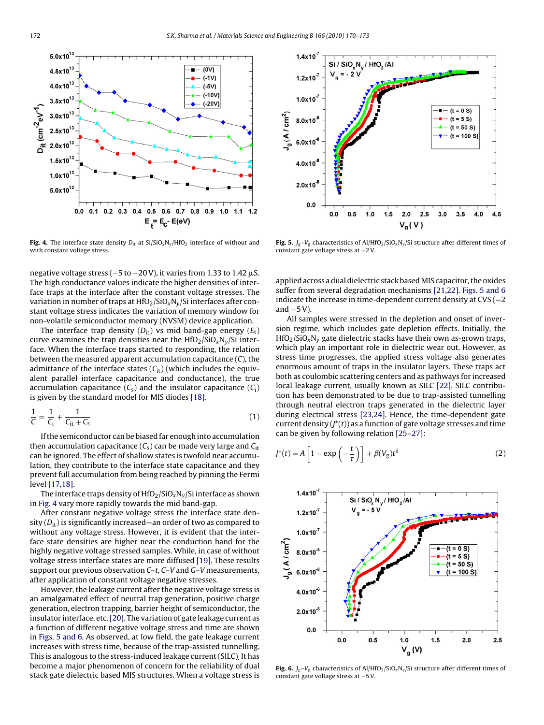<span id="page-2-0"></span>

**Fig. 4.** The interface state density  $D_{it}$  at  $Si/SiO_xN_y/HfO_2$  interface of without and with constant voltage stress.

negative voltage stress ( $-5$  to  $-20$  V), it varies from 1.33 to 1.42  $\mu$ S. The high conductance values indicate the higher densities of interface traps at the interface after the constant voltage stresses. The variation in number of traps at  $HfO_2/SiO_xN_v/Si$  interfaces after constant voltage stress indicates the variation of memory window for non-volatile semiconductor memory (NVSM) device application.

The interface trap density  $(D_{it})$  vs mid band-gap energy  $(E_t)$ curve examines the trap densities near the  $HfO_2/SiO_xN_v/Si$  interface. When the interface traps started to responding, the relation between the measured apparent accumulation capacitance (C), the admittance of the interface states  $(C_{it})$  (which includes the equivalent parallel interface capacitance and conductance), the true accumulation capacitance  $(C_s)$  and the insulator capacitance  $(C_i)$ is given by the standard model for MIS diodes [\[18\].](#page-3-0)

$$
\frac{1}{C} = \frac{1}{C_{i}} + \frac{1}{C_{it} + C_{s}}
$$
\n(1)

If the semiconductor can be biased far enough into accumulation then accumulation capacitance  $(C_s)$  can be made very large and  $C_{it}$ can be ignored. The effect of shallow states is twofold near accumulation, they contribute to the interface state capacitance and they prevent full accumulation from being reached by pinning the Fermi level [\[17,18\].](#page-3-0)

The interface traps density of  $HfO_2/SiO_xN_y/Si$  interface as shown in Fig. 4 vary more rapidly towards the mid band-gap.

After constant negative voltage stress the interface state density  $(D_{it})$  is significantly increased—an order of two as compared to without any voltage stress. However, it is evident that the interface state densities are higher near the conduction band for the highly negative voltage stressed samples. While, in case of without voltage stress interface states are more diffused [\[19\]. T](#page-3-0)hese results support our previous observation C–t, C–V and G–V measurements, after application of constant voltage negative stresses.

However, the leakage current after the negative voltage stress is an amalgamated effect of neutral trap generation, positive charge generation, electron trapping, barrier height of semiconductor, the insulator interface, etc.[\[20\]. T](#page-3-0)he variation of gate leakage current as a function of different negative voltage stress and time are shown in Figs. 5 and 6. As observed, at low field, the gate leakage current increases with stress time, because of the trap-assisted tunnelling. This is analogous to the stress-induced leakage current (SILC). It has become a major phenomenon of concern for the reliability of dual stack gate dielectric based MIS structures. When a voltage stress is



**Fig. 5.**  $J_g-V_g$  characteristics of Al/HfO<sub>2</sub>/SiO<sub>x</sub>N<sub>y</sub>/Si structure after different times of constant gate voltage stress at −2 V.

applied across a dual dielectric stack basedMIS capacitor, the oxides suffer from several degradation mechanisms [\[21,22\].](#page-3-0) Figs. 5 and 6 indicate the increase in time-dependent current density at  $CVS(-2)$ and  $-5V$ ).

All samples were stressed in the depletion and onset of inversion regime, which includes gate depletion effects. Initially, the  $HfO<sub>2</sub>/SiO<sub>x</sub>N<sub>v</sub>$  gate dielectric stacks have their own as-grown traps, which play an important role in dielectric wear out. However, as stress time progresses, the applied stress voltage also generates enormous amount of traps in the insulator layers. These traps act both as coulombic scattering centers and as pathways for increased local leakage current, usually known as SILC [\[22\]. S](#page-3-0)ILC contribution has been demonstrated to be due to trap-assisted tunnelling through neutral electron traps generated in the dielectric layer during electrical stress [\[23,24\]. H](#page-3-0)ence, the time-dependent gate current density  $(J^*(t))$  as a function of gate voltage stresses and time can be given by following relation [\[25–27\]:](#page-3-0)

$$
J^*(t) = A \left[ 1 - \exp\left(-\frac{t}{\tau}\right) \right] + \beta(V_g)t^{\delta} \tag{2}
$$



**Fig. 6.**  $J_g-V_g$  characteristics of Al/HfO<sub>2</sub>/SiO<sub>x</sub>N<sub>y</sub>/Si structure after different times of constant gate voltage stress at −5 V.